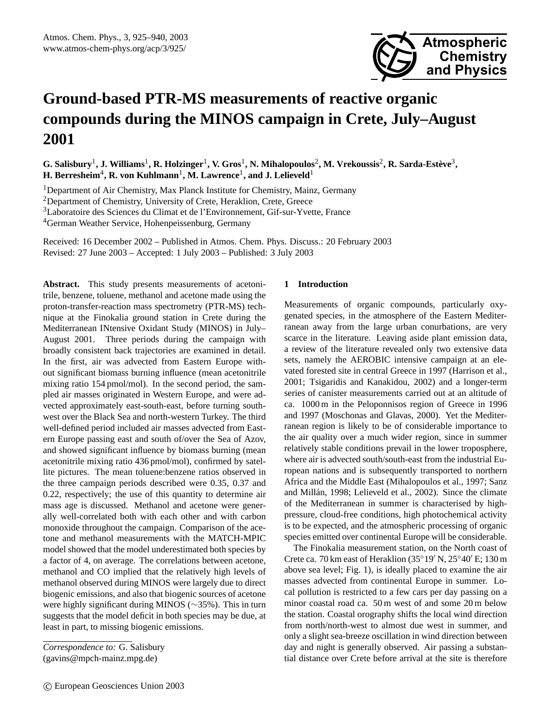# **Ground-based PTR-MS measurements of reactive organic compounds during the MINOS campaign in Crete, July–August 2001**

 $G$ . Salisbury<sup>1</sup>, J. Williams<sup>1</sup>, R. Holzinger<sup>1</sup>, V. Gros<sup>1</sup>, N. Mihalopoulos<sup>2</sup>, M. Vrekoussis<sup>2</sup>, R. Sarda-Estève<sup>3</sup>,  $\mathbf{H}\text{.}$  Berresheim $^4\text{, }\mathbf{R}\text{.}$  von Kuhlmann $^1\text{, }\mathbf{M}\text{.}$  Lawrence $^1\text{, and }\mathbf{J}\text{.}$  Lelieveld $^1$ 

<sup>1</sup>Department of Air Chemistry, Max Planck Institute for Chemistry, Mainz, Germany

<sup>2</sup>Department of Chemistry, University of Crete, Heraklion, Crete, Greece

<sup>3</sup>Laboratoire des Sciences du Climat et de l'Environnement, Gif-sur-Yvette, France

<sup>4</sup>German Weather Service, Hohenpeissenburg, Germany

Received: 16 December 2002 – Published in Atmos. Chem. Phys. Discuss.: 20 February 2003 Revised: 27 June 2003 – Accepted: 1 July 2003 – Published: 3 July 2003

**Abstract.** This study presents measurements of acetonitrile, benzene, toluene, methanol and acetone made using the proton-transfer-reaction mass spectrometry (PTR-MS) technique at the Finokalia ground station in Crete during the Mediterranean INtensive Oxidant Study (MINOS) in July– August 2001. Three periods during the campaign with broadly consistent back trajectories are examined in detail. In the first, air was advected from Eastern Europe without significant biomass burning influence (mean acetonitrile mixing ratio 154 pmol/mol). In the second period, the sampled air masses originated in Western Europe, and were advected approximately east-south-east, before turning southwest over the Black Sea and north-western Turkey. The third well-defined period included air masses advected from Eastern Europe passing east and south of/over the Sea of Azov, and showed significant influence by biomass burning (mean acetonitrile mixing ratio 436 pmol/mol), confirmed by satellite pictures. The mean toluene:benzene ratios observed in the three campaign periods described were 0.35, 0.37 and 0.22, respectively; the use of this quantity to determine air mass age is discussed. Methanol and acetone were generally well-correlated both with each other and with carbon monoxide throughout the campaign. Comparison of the acetone and methanol measurements with the MATCH-MPIC model showed that the model underestimated both species by a factor of 4, on average. The correlations between acetone, methanol and CO implied that the relatively high levels of methanol observed during MINOS were largely due to direct biogenic emissions, and also that biogenic sources of acetone were highly significant during MINOS (∼35%). This in turn suggests that the model deficit in both species may be due, at least in part, to missing biogenic emissions.

#### **1 Introduction**

Measurements of organic compounds, particularly oxygenated species, in the atmosphere of the Eastern Mediterranean away from the large urban conurbations, are very scarce in the literature. Leaving aside plant emission data, a review of the literature revealed only two extensive data sets, namely the AEROBIC intensive campaign at an elevated forested site in central Greece in 1997 (Harrison et al., 2001; Tsigaridis and Kanakidou, 2002) and a longer-term series of canister measurements carried out at an altitude of ca. 1000 m in the Peloponnisos region of Greece in 1996 and 1997 (Moschonas and Glavas, 2000). Yet the Mediterranean region is likely to be of considerable importance to the air quality over a much wider region, since in summer relatively stable conditions prevail in the lower troposphere, where air is advected south/south-east from the industrial European nations and is subsequently transported to northern Africa and the Middle East (Mihalopoulos et al., 1997; Sanz and Millán, 1998; Lelieveld et al., 2002). Since the climate of the Mediterranean in summer is characterised by highpressure, cloud-free conditions, high photochemical activity is to be expected, and the atmospheric processing of organic species emitted over continental Europe will be considerable.

**Chemistry and Physics**

The Finokalia measurement station, on the North coast of Crete ca. 70 km east of Heraklion (35°19′ N, 25°40′ E; 130 m above sea level; Fig. 1), is ideally placed to examine the air masses advected from continental Europe in summer. Local pollution is restricted to a few cars per day passing on a minor coastal road ca. 50 m west of and some 20 m below the station. Coastal orography shifts the local wind direction from north/north-west to almost due west in summer, and only a slight sea-breeze oscillation in wind direction between day and night is generally observed. Air passing a substantial distance over Crete before arrival at the site is therefore

*Correspondence to:* G. Salisbury (gavins@mpch-mainz.mpg.de)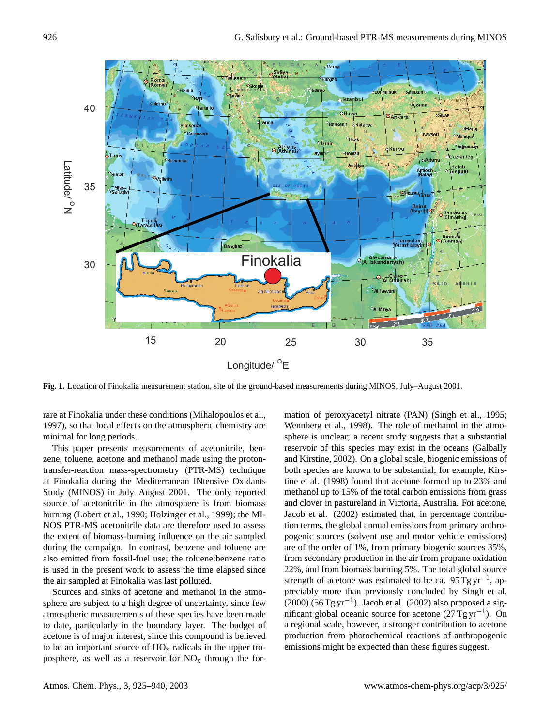

**Fig. 1.** Location of Finokalia measurement station, site of the ground-based measurements during MINOS, July–August 2001.

rare at Finokalia under these conditions (Mihalopoulos et al., 1997), so that local effects on the atmospheric chemistry are minimal for long periods.

This paper presents measurements of acetonitrile, benzene, toluene, acetone and methanol made using the protontransfer-reaction mass-spectrometry (PTR-MS) technique at Finokalia during the Mediterranean INtensive Oxidants Study (MINOS) in July–August 2001. The only reported source of acetonitrile in the atmosphere is from biomass burning (Lobert et al., 1990; Holzinger et al., 1999); the MI-NOS PTR-MS acetonitrile data are therefore used to assess the extent of biomass-burning influence on the air sampled during the campaign. In contrast, benzene and toluene are also emitted from fossil-fuel use; the toluene:benzene ratio is used in the present work to assess the time elapsed since the air sampled at Finokalia was last polluted.

Sources and sinks of acetone and methanol in the atmosphere are subject to a high degree of uncertainty, since few atmospheric measurements of these species have been made to date, particularly in the boundary layer. The budget of acetone is of major interest, since this compound is believed to be an important source of  $HO<sub>x</sub>$  radicals in the upper troposphere, as well as a reservoir for  $NO<sub>x</sub>$  through the formation of peroxyacetyl nitrate (PAN) (Singh et al., 1995; Wennberg et al., 1998). The role of methanol in the atmosphere is unclear; a recent study suggests that a substantial reservoir of this species may exist in the oceans (Galbally and Kirstine, 2002). On a global scale, biogenic emissions of both species are known to be substantial; for example, Kirstine et al. (1998) found that acetone formed up to 23% and methanol up to 15% of the total carbon emissions from grass and clover in pastureland in Victoria, Australia. For acetone, Jacob et al. (2002) estimated that, in percentage contribution terms, the global annual emissions from primary anthropogenic sources (solvent use and motor vehicle emissions) are of the order of 1%, from primary biogenic sources 35%, from secondary production in the air from propane oxidation 22%, and from biomass burning 5%. The total global source strength of acetone was estimated to be ca.  $95$ Tg yr<sup>-1</sup>, appreciably more than previously concluded by Singh et al. (2000) (56 Tg yr<sup>-1</sup>). Jacob et al. (2002) also proposed a significant global oceanic source for acetone (27 Tg yr<sup>-1</sup>). On a regional scale, however, a stronger contribution to acetone production from photochemical reactions of anthropogenic emissions might be expected than these figures suggest.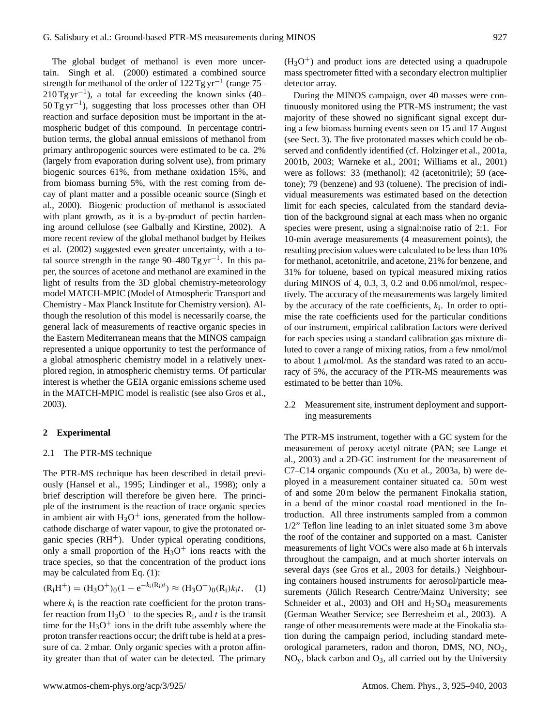The global budget of methanol is even more uncertain. Singh et al. (2000) estimated a combined source strength for methanol of the order of 122 Tg yr<sup>-1</sup> (range 75–  $210$  Tg yr<sup>-1</sup>), a total far exceeding the known sinks (40–  $50 \text{ Tg yr}^{-1}$ ), suggesting that loss processes other than OH reaction and surface deposition must be important in the atmospheric budget of this compound. In percentage contribution terms, the global annual emissions of methanol from primary anthropogenic sources were estimated to be ca. 2% (largely from evaporation during solvent use), from primary biogenic sources 61%, from methane oxidation 15%, and from biomass burning 5%, with the rest coming from decay of plant matter and a possible oceanic source (Singh et al., 2000). Biogenic production of methanol is associated with plant growth, as it is a by-product of pectin hardening around cellulose (see Galbally and Kirstine, 2002). A more recent review of the global methanol budget by Heikes et al. (2002) suggested even greater uncertainty, with a total source strength in the range  $90-480$  Tg yr<sup>-1</sup>. In this paper, the sources of acetone and methanol are examined in the light of results from the 3D global chemistry-meteorology model MATCH-MPIC (Model of Atmospheric Transport and Chemistry - Max Planck Institute for Chemistry version). Although the resolution of this model is necessarily coarse, the general lack of measurements of reactive organic species in the Eastern Mediterranean means that the MINOS campaign represented a unique opportunity to test the performance of a global atmospheric chemistry model in a relatively unexplored region, in atmospheric chemistry terms. Of particular interest is whether the GEIA organic emissions scheme used in the MATCH-MPIC model is realistic (see also Gros et al., 2003).

## **2 Experimental**

#### 2.1 The PTR-MS technique

The PTR-MS technique has been described in detail previously (Hansel et al., 1995; Lindinger et al., 1998); only a brief description will therefore be given here. The principle of the instrument is the reaction of trace organic species in ambient air with  $H_3O^+$  ions, generated from the hollowcathode discharge of water vapour, to give the protonated organic species  $(RH^+)$ . Under typical operating conditions, only a small proportion of the  $H_3O^+$  ions reacts with the trace species, so that the concentration of the product ions may be calculated from Eq. (1):

$$
(\mathbf{R}_i \mathbf{H}^+) = (\mathbf{H}_3 \mathbf{O}^+)_{0} (1 - e^{-k_i(\mathbf{R}_i)t}) \approx (\mathbf{H}_3 \mathbf{O}^+)_{0} (\mathbf{R}_i) k_i t, \quad (1)
$$

where  $k_i$  is the reaction rate coefficient for the proton transfer reaction from  $H_3O^+$  to the species  $R_i$ , and t is the transit time for the  $H_3O^+$  ions in the drift tube assembly where the proton transfer reactions occur; the drift tube is held at a pressure of ca. 2 mbar. Only organic species with a proton affinity greater than that of water can be detected. The primary

 $(H<sub>3</sub>O<sup>+</sup>)$  and product ions are detected using a quadrupole mass spectrometer fitted with a secondary electron multiplier detector array.

During the MINOS campaign, over 40 masses were continuously monitored using the PTR-MS instrument; the vast majority of these showed no significant signal except during a few biomass burning events seen on 15 and 17 August (see Sect. 3). The five protonated masses which could be observed and confidently identified (cf. Holzinger et al., 2001a, 2001b, 2003; Warneke et al., 2001; Williams et al., 2001) were as follows: 33 (methanol); 42 (acetonitrile); 59 (acetone); 79 (benzene) and 93 (toluene). The precision of individual measurements was estimated based on the detection limit for each species, calculated from the standard deviation of the background signal at each mass when no organic species were present, using a signal:noise ratio of 2:1. For 10-min average measurements (4 measurement points), the resulting precision values were calculated to be less than 10% for methanol, acetonitrile, and acetone, 21% for benzene, and 31% for toluene, based on typical measured mixing ratios during MINOS of 4, 0.3, 3, 0.2 and 0.06 nmol/mol, respectively. The accuracy of the measurements was largely limited by the accuracy of the rate coefficients,  $k_i$ . In order to optimise the rate coefficients used for the particular conditions of our instrument, empirical calibration factors were derived for each species using a standard calibration gas mixture diluted to cover a range of mixing ratios, from a few nmol/mol to about 1  $\mu$ mol/mol. As the standard was rated to an accuracy of 5%, the accuracy of the PTR-MS meaurements was estimated to be better than 10%.

2.2 Measurement site, instrument deployment and supporting measurements

The PTR-MS instrument, together with a GC system for the measurement of peroxy acetyl nitrate (PAN; see Lange et al., 2003) and a 2D-GC instrument for the measurement of C7–C14 organic compounds (Xu et al., 2003a, b) were deployed in a measurement container situated ca. 50 m west of and some 20 m below the permanent Finokalia station, in a bend of the minor coastal road mentioned in the Introduction. All three instruments sampled from a common 1/2" Teflon line leading to an inlet situated some 3 m above the roof of the container and supported on a mast. Canister measurements of light VOCs were also made at 6 h intervals throughout the campaign, and at much shorter intervals on several days (see Gros et al., 2003 for details.) Neighbouring containers housed instruments for aerosol/particle measurements (Jülich Research Centre/Mainz University; see Schneider et al., 2003) and OH and  $H<sub>2</sub>SO<sub>4</sub>$  measurements (German Weather Service; see Berresheim et al., 2003). A range of other measurements were made at the Finokalia station during the campaign period, including standard meteorological parameters, radon and thoron, DMS, NO, NO2,  $NO<sub>y</sub>$ , black carbon and  $O<sub>3</sub>$ , all carried out by the University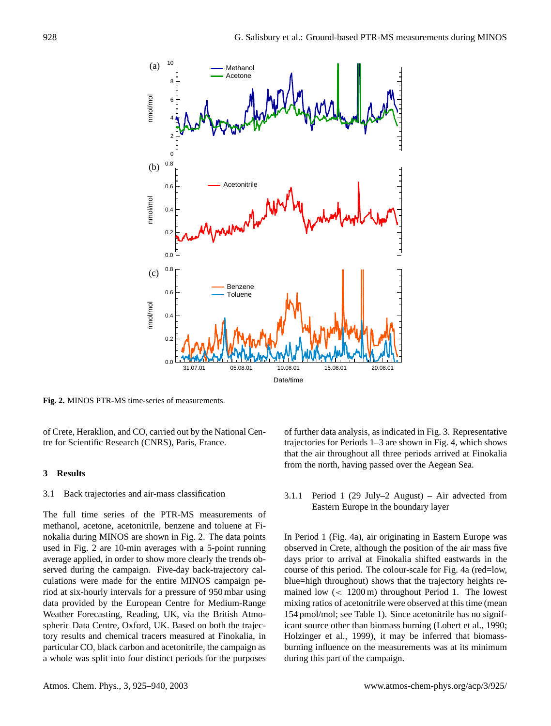

**Fig. 2.** MINOS PTR-MS time-series of measurements.

of Crete, Heraklion, and CO, carried out by the National Centre for Scientific Research (CNRS), Paris, France.

#### **3 Results**

## 3.1 Back trajectories and air-mass classification

The full time series of the PTR-MS measurements of methanol, acetone, acetonitrile, benzene and toluene at Finokalia during MINOS are shown in Fig. 2. The data points used in Fig. 2 are 10-min averages with a 5-point running average applied, in order to show more clearly the trends observed during the campaign. Five-day back-trajectory calculations were made for the entire MINOS campaign period at six-hourly intervals for a pressure of 950 mbar using data provided by the European Centre for Medium-Range Weather Forecasting, Reading, UK, via the British Atmospheric Data Centre, Oxford, UK. Based on both the trajectory results and chemical tracers measured at Finokalia, in particular CO, black carbon and acetonitrile, the campaign as a whole was split into four distinct periods for the purposes of further data analysis, as indicated in Fig. 3. Representative trajectories for Periods 1–3 are shown in Fig. 4, which shows that the air throughout all three periods arrived at Finokalia from the north, having passed over the Aegean Sea.

3.1.1 Period 1 (29 July–2 August) – Air advected from Eastern Europe in the boundary layer

In Period 1 (Fig. 4a), air originating in Eastern Europe was observed in Crete, although the position of the air mass five days prior to arrival at Finokalia shifted eastwards in the course of this period. The colour-scale for Fig. 4a (red=low, blue=high throughout) shows that the trajectory heights remained low (< 1200 m) throughout Period 1. The lowest mixing ratios of acetonitrile were observed at this time (mean 154 pmol/mol; see Table 1). Since acetonitrile has no significant source other than biomass burning (Lobert et al., 1990; Holzinger et al., 1999), it may be inferred that biomassburning influence on the measurements was at its minimum during this part of the campaign.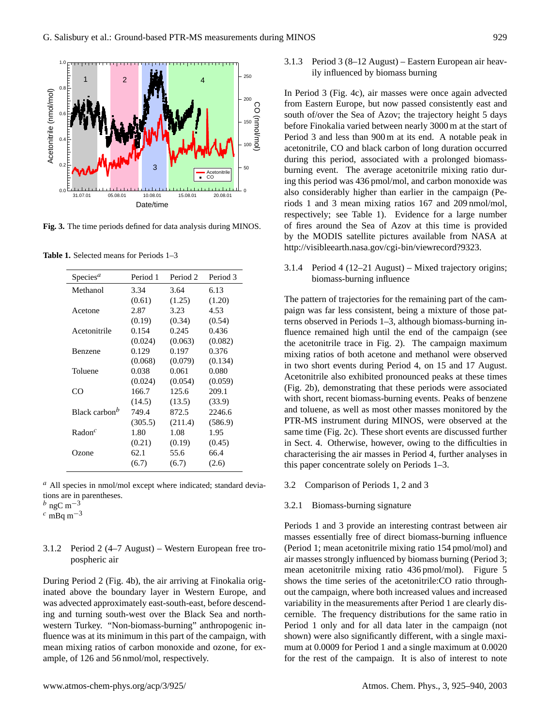

Fig. 3. The time periods defined for data analysis during MINOS.

**Table 1.** Selected means for Periods 1–3

| Species <sup><i>a</i></sup> | Period 1 | Period 2 | Period 3 |
|-----------------------------|----------|----------|----------|
| Methanol                    | 3.34     | 3.64     | 6.13     |
|                             | (0.61)   | (1.25)   | (1.20)   |
| Acetone                     | 2.87     | 3.23     | 4.53     |
|                             | (0.19)   | (0.34)   | (0.54)   |
| Acetonitrile                | 0.154    | 0.245    | 0.436    |
|                             | (0.024)  | (0.063)  | (0.082)  |
| <b>Benzene</b>              | 0.129    | 0.197    | 0.376    |
|                             | (0.068)  | (0.079)  | (0.134)  |
| Toluene                     | 0.038    | 0.061    | 0.080    |
|                             | (0.024)  | (0.054)  | (0.059)  |
| CO                          | 166.7    | 125.6    | 209.1    |
|                             | (14.5)   | (13.5)   | (33.9)   |
| Black carbon <sup>b</sup>   | 749.4    | 872.5    | 2246.6   |
|                             | (305.5)  | (211.4)  | (586.9)  |
| $\mathsf{Radon}^c$          | 1.80     | 1.08     | 1.95     |
|                             | (0.21)   | (0.19)   | (0.45)   |
| Ozone                       | 62.1     | 55.6     | 66.4     |
|                             | (6.7)    | (6.7)    | (2.6)    |
|                             |          |          |          |

 $a$  All species in nmol/mol except where indicated; standard deviations are in parentheses.

 $c$  mBq m<sup>-3</sup>

## 3.1.2 Period 2 (4–7 August) – Western European free tropospheric air

During Period 2 (Fig. 4b), the air arriving at Finokalia originated above the boundary layer in Western Europe, and was advected approximately east-south-east, before descending and turning south-west over the Black Sea and northwestern Turkey. "Non-biomass-burning" anthropogenic influence was at its minimum in this part of the campaign, with mean mixing ratios of carbon monoxide and ozone, for example, of 126 and 56 nmol/mol, respectively.

3.1.3 Period 3 (8–12 August) – Eastern European air heavily influenced by biomass burning

In Period 3 (Fig. 4c), air masses were once again advected from Eastern Europe, but now passed consistently east and south of/over the Sea of Azov; the trajectory height 5 days before Finokalia varied between nearly 3000 m at the start of Period 3 and less than 900 m at its end. A notable peak in acetonitrile, CO and black carbon of long duration occurred during this period, associated with a prolonged biomassburning event. The average acetonitrile mixing ratio during this period was 436 pmol/mol, and carbon monoxide was also considerably higher than earlier in the campaign (Periods 1 and 3 mean mixing ratios 167 and 209 nmol/mol, respectively; see Table 1). Evidence for a large number of fires around the Sea of Azov at this time is provided by the MODIS satellite pictures available from NASA at http://visibleearth.nasa.gov/cgi-bin/viewrecord?9323.

## 3.1.4 Period 4 (12–21 August) – Mixed trajectory origins; biomass-burning influence

The pattern of trajectories for the remaining part of the campaign was far less consistent, being a mixture of those patterns observed in Periods 1–3, although biomass-burning influence remained high until the end of the campaign (see the acetonitrile trace in Fig. 2). The campaign maximum mixing ratios of both acetone and methanol were observed in two short events during Period 4, on 15 and 17 August. Acetonitrile also exhibited pronounced peaks at these times (Fig. 2b), demonstrating that these periods were associated with short, recent biomass-burning events. Peaks of benzene and toluene, as well as most other masses monitored by the PTR-MS instrument during MINOS, were observed at the same time (Fig. 2c). These short events are discussed further in Sect. 4. Otherwise, however, owing to the difficulties in characterising the air masses in Period 4, further analyses in this paper concentrate solely on Periods 1–3.

3.2 Comparison of Periods 1, 2 and 3

#### 3.2.1 Biomass-burning signature

Periods 1 and 3 provide an interesting contrast between air masses essentially free of direct biomass-burning influence (Period 1; mean acetonitrile mixing ratio 154 pmol/mol) and air masses strongly influenced by biomass burning (Period 3; mean acetonitrile mixing ratio 436 pmol/mol). Figure 5 shows the time series of the acetonitrile:CO ratio throughout the campaign, where both increased values and increased variability in the measurements after Period 1 are clearly discernible. The frequency distributions for the same ratio in Period 1 only and for all data later in the campaign (not shown) were also significantly different, with a single maximum at 0.0009 for Period 1 and a single maximum at 0.0020 for the rest of the campaign. It is also of interest to note

 $b$  ngC m<sup>-3</sup>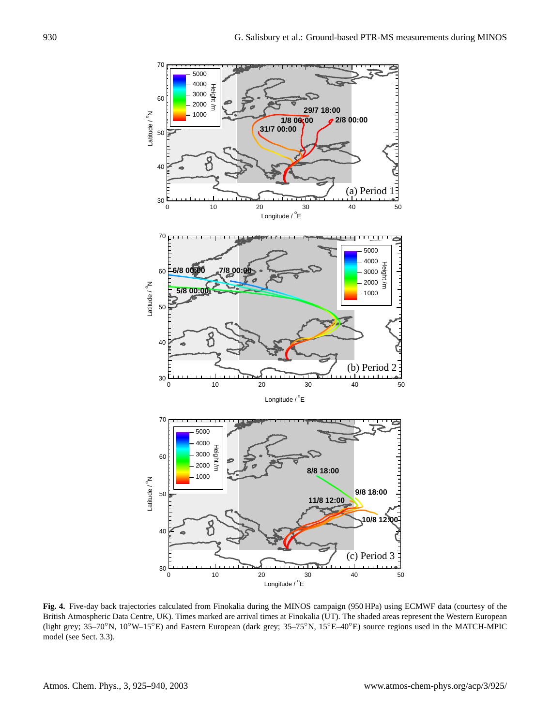

Fig. 4. Five-day back trajectories calculated from Finokalia during the MINOS campaign (550 H a) using ECMWP data (countes) of the<br>British Atmospheric Data Centre, UK). Times marked are arrival times at Finokalia (UT). The cally, external matrix and the British attention (e.g.  $15^{\circ}$ E) data (control the British Atmospheric system at  $15^{\circ}$ E) and England British Atmospheric Health Atmospheric Health Atmospheric Health Atmospheric Health (light grey;  $35-70°$ N,  $10°W-15°E$ ) and Eastern European (dark grey;  $35-75°N$ ,  $15°E-40°E$ ) source regions used in the MATCH-MPIC model (see Sect. 3.3). **Fig. 4.** Five-day back trajectories calculated from Finokalia during the MINOS campaign (950 HPa) using ECMWF data (courtesy of the model (see Sect. 3.3).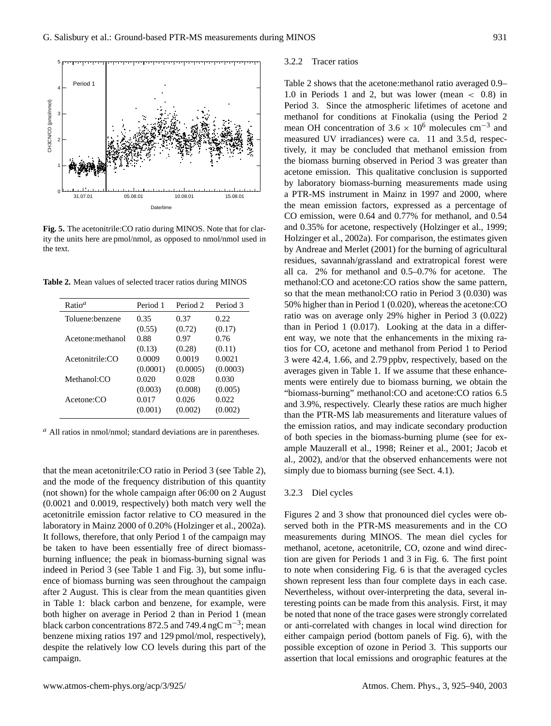

**Fig. 5.** The acetonitrile: CO ratio during MINOS. Note that for clarity the units here are pmol/nmol, as opposed to nmol/nmol used in the text.

**Table 2.** Mean values of selected tracer ratios during MINOS

| Ratio <sup>a</sup> | Period 1 | Period <sub>2</sub> | Period 3 |
|--------------------|----------|---------------------|----------|
| Toluene: benzene   | 0.35     | 0.37                | 0.22     |
|                    | (0.55)   | (0.72)              | (0.17)   |
| Acetone: methanol  | 0.88     | 0.97                | 0.76     |
|                    | (0.13)   | (0.28)              | (0.11)   |
| Acetonitrile:CO    | 0.0009   | 0.0019              | 0.0021   |
|                    | (0.0001) | (0.0005)            | (0.0003) |
| Methanol:CO        | 0.020    | 0.028               | 0.030    |
|                    | (0.003)  | (0.008)             | (0.005)  |
| Acetone: CO        | 0.017    | 0.026               | 0.022    |
|                    | (0.001)  | (0.002)             | (0.002)  |

 $a$  All ratios in nmol/nmol; standard deviations are in parentheses.

that the mean acetonitrile:CO ratio in Period 3 (see Table 2), and the mode of the frequency distribution of this quantity (not shown) for the whole campaign after 06:00 on 2 August (0.0021 and 0.0019, respectively) both match very well the acetonitrile emission factor relative to CO measured in the laboratory in Mainz 2000 of 0.20% (Holzinger et al., 2002a). It follows, therefore, that only Period 1 of the campaign may be taken to have been essentially free of direct biomassburning influence; the peak in biomass-burning signal was indeed in Period 3 (see Table 1 and Fig. 3), but some influence of biomass burning was seen throughout the campaign after 2 August. This is clear from the mean quantities given in Table 1: black carbon and benzene, for example, were both higher on average in Period 2 than in Period 1 (mean black carbon concentrations 872.5 and 749.4 ngC m<sup>-3</sup>; mean benzene mixing ratios 197 and 129 pmol/mol, respectively), despite the relatively low CO levels during this part of the campaign.

#### 3.2.2 Tracer ratios

Table 2 shows that the acetone:methanol ratio averaged 0.9– 1.0 in Periods 1 and 2, but was lower (mean < 0.8) in Period 3. Since the atmospheric lifetimes of acetone and methanol for conditions at Finokalia (using the Period 2 mean OH concentration of  $3.6 \times 10^6$  molecules cm<sup>-3</sup> and measured UV irradiances) were ca. 11 and 3.5 d, respectively, it may be concluded that methanol emission from the biomass burning observed in Period 3 was greater than acetone emission. This qualitative conclusion is supported by laboratory biomass-burning measurements made using a PTR-MS instrument in Mainz in 1997 and 2000, where the mean emission factors, expressed as a percentage of CO emission, were 0.64 and 0.77% for methanol, and 0.54 and 0.35% for acetone, respectively (Holzinger et al., 1999; Holzinger et al., 2002a). For comparison, the estimates given by Andreae and Merlet (2001) for the burning of agricultural residues, savannah/grassland and extratropical forest were all ca. 2% for methanol and 0.5–0.7% for acetone. The methanol:CO and acetone:CO ratios show the same pattern, so that the mean methanol:CO ratio in Period 3 (0.030) was 50% higher than in Period 1 (0.020), whereas the acetone:CO ratio was on average only 29% higher in Period 3 (0.022) than in Period 1 (0.017). Looking at the data in a different way, we note that the enhancements in the mixing ratios for CO, acetone and methanol from Period 1 to Period 3 were 42.4, 1.66, and 2.79 ppbv, respectively, based on the averages given in Table 1. If we assume that these enhancements were entirely due to biomass burning, we obtain the "biomass-burning" methanol:CO and acetone:CO ratios 6.5 and 3.9%, respectively. Clearly these ratios are much higher than the PTR-MS lab measurements and literature values of the emission ratios, and may indicate secondary production of both species in the biomass-burning plume (see for example Mauzerall et al., 1998; Reiner et al., 2001; Jacob et al., 2002), and/or that the observed enhancements were not simply due to biomass burning (see Sect. 4.1).

#### 3.2.3 Diel cycles

Figures 2 and 3 show that pronounced diel cycles were observed both in the PTR-MS measurements and in the CO measurements during MINOS. The mean diel cycles for methanol, acetone, acetonitrile, CO, ozone and wind direction are given for Periods 1 and 3 in Fig. 6. The first point to note when considering Fig. 6 is that the averaged cycles shown represent less than four complete days in each case. Nevertheless, without over-interpreting the data, several interesting points can be made from this analysis. First, it may be noted that none of the trace gases were strongly correlated or anti-correlated with changes in local wind direction for either campaign period (bottom panels of Fig. 6), with the possible exception of ozone in Period 3. This supports our assertion that local emissions and orographic features at the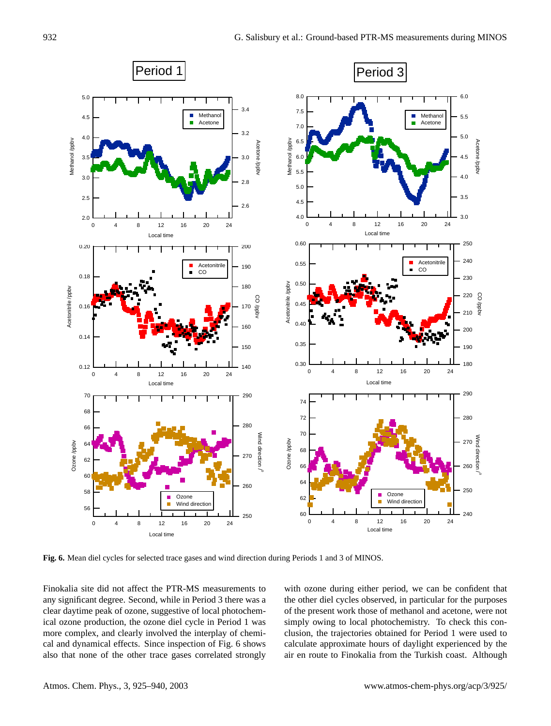

**Fig. 6.** Mean diel cycles for selected trace gases and wind direction during Periods 1 and 3 of MINOS.

Finokalia site did not affect the PTR-MS measurements to w any significant degree. Second, while in Period 3 there was a clear daytime peak of ozone, suggestive of local photochemical ozone production, the ozone diel cycle in Period 1 was more complex, and clearly involved the interplay of chemical and dynamical effects. Since inspection of Fig. 6 shows also that none of the other trace gases correlated strongly

with ozone during either period, we can be confident that the other diel cycles observed, in particular for the purposes of the present work those of methanol and acetone, were not simply owing to local photochemistry. To check this conclusion, the trajectories obtained for Period 1 were used to calculate approximate hours of daylight experienced by the air en route to Finokalia from the Turkish coast. Although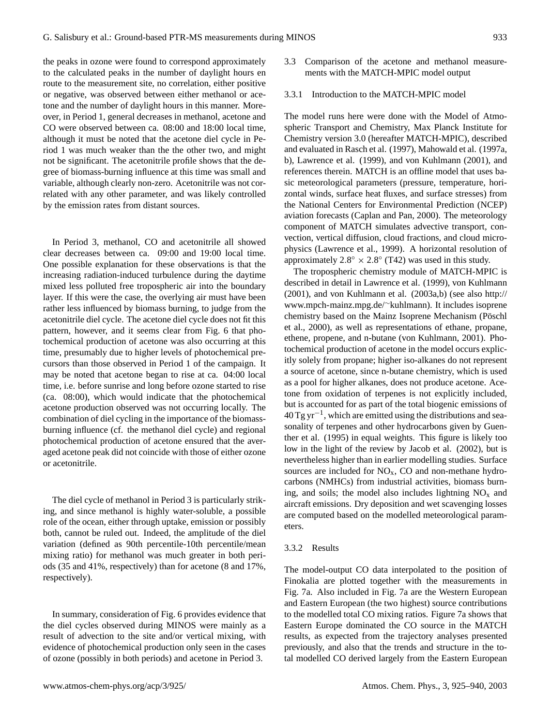the peaks in ozone were found to correspond approximately to the calculated peaks in the number of daylight hours en route to the measurement site, no correlation, either positive or negative, was observed between either methanol or acetone and the number of daylight hours in this manner. Moreover, in Period 1, general decreases in methanol, acetone and CO were observed between ca. 08:00 and 18:00 local time, although it must be noted that the acetone diel cycle in Period 1 was much weaker than the the other two, and might not be significant. The acetonitrile profile shows that the degree of biomass-burning influence at this time was small and variable, although clearly non-zero. Acetonitrile was not correlated with any other parameter, and was likely controlled by the emission rates from distant sources.

In Period 3, methanol, CO and acetonitrile all showed clear decreases between ca. 09:00 and 19:00 local time. One possible explanation for these observations is that the increasing radiation-induced turbulence during the daytime mixed less polluted free tropospheric air into the boundary layer. If this were the case, the overlying air must have been rather less influenced by biomass burning, to judge from the acetonitrile diel cycle. The acetone diel cycle does not fit this pattern, however, and it seems clear from Fig. 6 that photochemical production of acetone was also occurring at this time, presumably due to higher levels of photochemical precursors than those observed in Period 1 of the campaign. It may be noted that acetone began to rise at ca. 04:00 local time, i.e. before sunrise and long before ozone started to rise (ca. 08:00), which would indicate that the photochemical acetone production observed was not occurring locally. The combination of diel cycling in the importance of the biomassburning influence (cf. the methanol diel cycle) and regional photochemical production of acetone ensured that the averaged acetone peak did not coincide with those of either ozone or acetonitrile.

The diel cycle of methanol in Period 3 is particularly striking, and since methanol is highly water-soluble, a possible role of the ocean, either through uptake, emission or possibly both, cannot be ruled out. Indeed, the amplitude of the diel variation (defined as 90th percentile-10th percentile/mean mixing ratio) for methanol was much greater in both periods (35 and 41%, respectively) than for acetone (8 and 17%, respectively).

In summary, consideration of Fig. 6 provides evidence that the diel cycles observed during MINOS were mainly as a result of advection to the site and/or vertical mixing, with evidence of photochemical production only seen in the cases of ozone (possibly in both periods) and acetone in Period 3.

- 3.3 Comparison of the acetone and methanol measurements with the MATCH-MPIC model output
- 3.3.1 Introduction to the MATCH-MPIC model

The model runs here were done with the Model of Atmospheric Transport and Chemistry, Max Planck Institute for Chemistry version 3.0 (hereafter MATCH-MPIC), described and evaluated in Rasch et al. (1997), Mahowald et al. (1997a, b), Lawrence et al. (1999), and von Kuhlmann (2001), and references therein. MATCH is an offline model that uses basic meteorological parameters (pressure, temperature, horizontal winds, surface heat fluxes, and surface stresses) from the National Centers for Environmental Prediction (NCEP) aviation forecasts (Caplan and Pan, 2000). The meteorology component of MATCH simulates advective transport, convection, vertical diffusion, cloud fractions, and cloud microphysics (Lawrence et al., 1999). A horizontal resolution of approximately  $2.8^{\circ} \times 2.8^{\circ}$  (T42) was used in this study.

The tropospheric chemistry module of MATCH-MPIC is described in detail in Lawrence et al. (1999), von Kuhlmann (2001), and von Kuhlmann et al. (2003a,b) (see also http:// www.mpch-mainz.mpg.de/∼kuhlmann). It includes isoprene chemistry based on the Mainz Isoprene Mechanism (Pöschl et al., 2000), as well as representations of ethane, propane, ethene, propene, and n-butane (von Kuhlmann, 2001). Photochemical production of acetone in the model occurs explicitly solely from propane; higher iso-alkanes do not represent a source of acetone, since n-butane chemistry, which is used as a pool for higher alkanes, does not produce acetone. Acetone from oxidation of terpenes is not explicitly included, but is accounted for as part of the total biogenic emissions of 40 Tg yr−<sup>1</sup> , which are emitted using the distributions and seasonality of terpenes and other hydrocarbons given by Guenther et al. (1995) in equal weights. This figure is likely too low in the light of the review by Jacob et al. (2002), but is nevertheless higher than in earlier modelling studies. Surface sources are included for  $NO<sub>x</sub>$ , CO and non-methane hydrocarbons (NMHCs) from industrial activities, biomass burning, and soils; the model also includes lightning  $NO<sub>x</sub>$  and aircraft emissions. Dry deposition and wet scavenging losses are computed based on the modelled meteorological parameters.

#### 3.3.2 Results

The model-output CO data interpolated to the position of Finokalia are plotted together with the measurements in Fig. 7a. Also included in Fig. 7a are the Western European and Eastern European (the two highest) source contributions to the modelled total CO mixing ratios. Figure 7a shows that Eastern Europe dominated the CO source in the MATCH results, as expected from the trajectory analyses presented previously, and also that the trends and structure in the total modelled CO derived largely from the Eastern European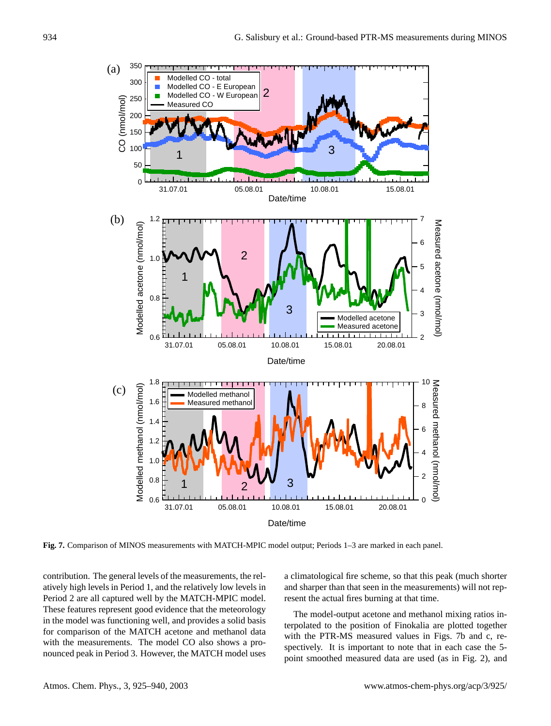

Figure 7. Comparison of MINOS measurements with MINOS measurements with  $\mathbf{A}$ **Fig. 7.** Comparison of MINOS measurements with MATCH-MPIC model output; Periods 1–3 are marked in each panel.

contribution. The general levels of the measurements, the relatively high levels in Period 1, and the relatively low levels in Period 2 are all captured well by the MATCH-MPIC model. These features represent good evidence that the meteorology in the model was functioning well, and provides a solid basis for comparison of the MATCH acetone and methanol data with the measurements. The model CO also shows a pronounced peak in Period 3. However, the MATCH model uses

a climatological fire scheme, so that this peak (much shorter and sharper than that seen in the measurements) will not represent the actual fires burning at that time.

The model-output acetone and methanol mixing ratios interpolated to the position of Finokalia are plotted together with the PTR-MS measured values in Figs. 7b and c, respectively. It is important to note that in each case the 5 point smoothed measured data are used (as in Fig. 2), and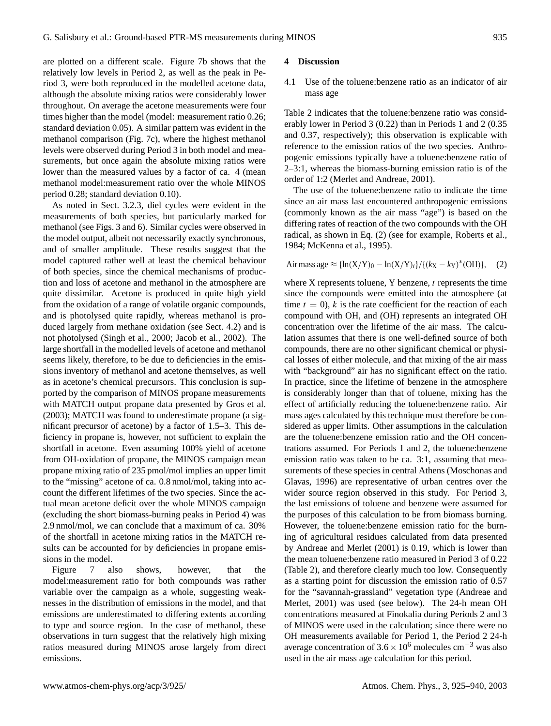are plotted on a different scale. Figure 7b shows that the relatively low levels in Period 2, as well as the peak in Period 3, were both reproduced in the modelled acetone data, although the absolute mixing ratios were considerably lower throughout. On average the acetone measurements were four times higher than the model (model: measurement ratio 0.26; standard deviation 0.05). A similar pattern was evident in the methanol comparison (Fig. 7c), where the highest methanol levels were observed during Period 3 in both model and measurements, but once again the absolute mixing ratios were lower than the measured values by a factor of ca. 4 (mean methanol model:measurement ratio over the whole MINOS period 0.28; standard deviation 0.10).

As noted in Sect. 3.2.3, diel cycles were evident in the measurements of both species, but particularly marked for methanol (see Figs. 3 and 6). Similar cycles were observed in the model output, albeit not necessarily exactly synchronous, and of smaller amplitude. These results suggest that the model captured rather well at least the chemical behaviour of both species, since the chemical mechanisms of production and loss of acetone and methanol in the atmosphere are quite dissimilar. Acetone is produced in quite high yield from the oxidation of a range of volatile organic compounds, and is photolysed quite rapidly, whereas methanol is produced largely from methane oxidation (see Sect. 4.2) and is not photolysed (Singh et al., 2000; Jacob et al., 2002). The large shortfall in the modelled levels of acetone and methanol seems likely, therefore, to be due to deficiencies in the emissions inventory of methanol and acetone themselves, as well as in acetone's chemical precursors. This conclusion is supported by the comparison of MINOS propane measurements with MATCH output propane data presented by Gros et al. (2003); MATCH was found to underestimate propane (a significant precursor of acetone) by a factor of 1.5–3. This deficiency in propane is, however, not sufficient to explain the shortfall in acetone. Even assuming 100% yield of acetone from OH-oxidation of propane, the MINOS campaign mean propane mixing ratio of 235 pmol/mol implies an upper limit to the "missing" acetone of ca. 0.8 nmol/mol, taking into account the different lifetimes of the two species. Since the actual mean acetone deficit over the whole MINOS campaign (excluding the short biomass-burning peaks in Period 4) was 2.9 nmol/mol, we can conclude that a maximum of ca. 30% of the shortfall in acetone mixing ratios in the MATCH results can be accounted for by deficiencies in propane emissions in the model.

Figure 7 also shows, however, that the model:measurement ratio for both compounds was rather variable over the campaign as a whole, suggesting weaknesses in the distribution of emissions in the model, and that emissions are underestimated to differing extents according to type and source region. In the case of methanol, these observations in turn suggest that the relatively high mixing ratios measured during MINOS arose largely from direct emissions.

### **4 Discussion**

4.1 Use of the toluene:benzene ratio as an indicator of air mass age

Table 2 indicates that the toluene:benzene ratio was considerably lower in Period 3 (0.22) than in Periods 1 and 2 (0.35 and 0.37, respectively); this observation is explicable with reference to the emission ratios of the two species. Anthropogenic emissions typically have a toluene:benzene ratio of 2–3:1, whereas the biomass-burning emission ratio is of the order of 1:2 (Merlet and Andreae, 2001).

The use of the toluene:benzene ratio to indicate the time since an air mass last encountered anthropogenic emissions (commonly known as the air mass "age") is based on the differing rates of reaction of the two compounds with the OH radical, as shown in Eq. (2) (see for example, Roberts et al., 1984; McKenna et al., 1995).

Air mass age 
$$
\approx {\ln(X/Y)_0 - \ln(X/Y)_t}/({(k_X - k_Y)^*(OH)}_1,
$$
 (2)

where  $X$  represents toluene,  $Y$  benzene,  $t$  represents the time since the compounds were emitted into the atmosphere (at time  $t = 0$ , k is the rate coefficient for the reaction of each compound with OH, and (OH) represents an integrated OH concentration over the lifetime of the air mass. The calculation assumes that there is one well-defined source of both compounds, there are no other significant chemical or physical losses of either molecule, and that mixing of the air mass with "background" air has no significant effect on the ratio. In practice, since the lifetime of benzene in the atmosphere is considerably longer than that of toluene, mixing has the effect of artificially reducing the toluene:benzene ratio. Air mass ages calculated by this technique must therefore be considered as upper limits. Other assumptions in the calculation are the toluene:benzene emission ratio and the OH concentrations assumed. For Periods 1 and 2, the toluene:benzene emission ratio was taken to be ca. 3:1, assuming that measurements of these species in central Athens (Moschonas and Glavas, 1996) are representative of urban centres over the wider source region observed in this study. For Period 3, the last emissions of toluene and benzene were assumed for the purposes of this calculation to be from biomass burning. However, the toluene:benzene emission ratio for the burning of agricultural residues calculated from data presented by Andreae and Merlet (2001) is 0.19, which is lower than the mean toluene:benzene ratio measured in Period 3 of 0.22 (Table 2), and therefore clearly much too low. Consequently as a starting point for discussion the emission ratio of 0.57 for the "savannah-grassland" vegetation type (Andreae and Merlet, 2001) was used (see below). The 24-h mean OH concentrations measured at Finokalia during Periods 2 and 3 of MINOS were used in the calculation; since there were no OH measurements available for Period 1, the Period 2 24-h average concentration of  $3.6 \times 10^6$  molecules cm<sup>-3</sup> was also used in the air mass age calculation for this period.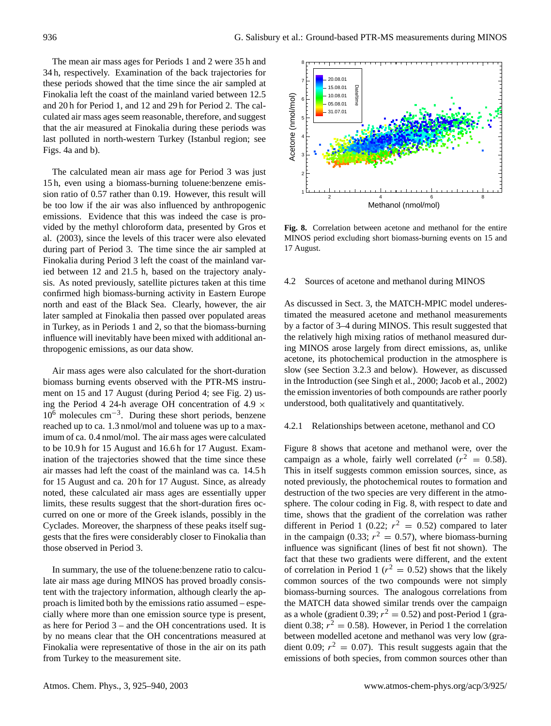The mean air mass ages for Periods 1 and 2 were 35 h and 34 h, respectively. Examination of the back trajectories for these periods showed that the time since the air sampled at Finokalia left the coast of the mainland varied between 12.5 and 20 h for Period 1, and 12 and 29 h for Period 2. The calculated air mass ages seem reasonable, therefore, and suggest that the air measured at Finokalia during these periods was last polluted in north-western Turkey (Istanbul region; see Figs. 4a and b).

The calculated mean air mass age for Period 3 was just 15 h, even using a biomass-burning toluene:benzene emission ratio of 0.57 rather than 0.19. However, this result will be too low if the air was also influenced by anthropogenic emissions. Evidence that this was indeed the case is provided by the methyl chloroform data, presented by Gros et al. (2003), since the levels of this tracer were also elevated during part of Period 3. The time since the air sampled at Finokalia during Period 3 left the coast of the mainland varied between 12 and 21.5 h, based on the trajectory analysis. As noted previously, satellite pictures taken at this time confirmed high biomass-burning activity in Eastern Europe north and east of the Black Sea. Clearly, however, the air later sampled at Finokalia then passed over populated areas in Turkey, as in Periods 1 and 2, so that the biomass-burning influence will inevitably have been mixed with additional anthropogenic emissions, as our data show.

Air mass ages were also calculated for the short-duration biomass burning events observed with the PTR-MS instrument on 15 and 17 August (during Period 4; see Fig. 2) using the Period 4 24-h average OH concentration of 4.9  $\times$ 10<sup>6</sup> molecules cm−<sup>3</sup> . During these short periods, benzene reached up to ca. 1.3 nmol/mol and toluene was up to a maximum of ca. 0.4 nmol/mol. The air mass ages were calculated to be 10.9 h for 15 August and 16.6 h for 17 August. Examination of the trajectories showed that the time since these air masses had left the coast of the mainland was ca. 14.5 h for 15 August and ca. 20 h for 17 August. Since, as already noted, these calculated air mass ages are essentially upper limits, these results suggest that the short-duration fires occurred on one or more of the Greek islands, possibly in the Cyclades. Moreover, the sharpness of these peaks itself suggests that the fires were considerably closer to Finokalia than those observed in Period 3.

In summary, the use of the toluene:benzene ratio to calculate air mass age during MINOS has proved broadly consistent with the trajectory information, although clearly the approach is limited both by the emissions ratio assumed – especially where more than one emission source type is present, as here for Period 3 – and the OH concentrations used. It is by no means clear that the OH concentrations measured at Finokalia were representative of those in the air on its path from Turkey to the measurement site.



Fig. 8. Correlation between acetone and methanol for the entire MINOS period excluding short biomass-burning events on 15 and 17 August.

# 4.2 Sources of acetone and methanol during MINOS

As discussed in Sect. 3, the MATCH-MPIC model underestimated the measured acetone and methanol measurements by a factor of 3–4 during MINOS. This result suggested that the relatively high mixing ratios of methanol measured during MINOS arose largely from direct emissions, as, unlike acetone, its photochemical production in the atmosphere is slow (see Section 3.2.3 and below). However, as discussed in the Introduction (see Singh et al., 2000; Jacob et al., 2002) the emission inventories of both compounds are rather poorly understood, both qualitatively and quantitatively.

#### 4.2.1 Relationships between acetone, methanol and CO

Figure 8 shows that acetone and methanol were, over the campaign as a whole, fairly well correlated ( $r^2 = 0.58$ ). This in itself suggests common emission sources, since, as noted previously, the photochemical routes to formation and destruction of the two species are very different in the atmosphere. The colour coding in Fig. 8, with respect to date and time, shows that the gradient of the correlation was rather different in Period 1 (0.22;  $r^2 = 0.52$ ) compared to later in the campaign (0.33;  $r^2 = 0.57$ ), where biomass-burning influence was significant (lines of best fit not shown). The fact that these two gradients were different, and the extent of correlation in Period 1 ( $r^2 = 0.52$ ) shows that the likely common sources of the two compounds were not simply biomass-burning sources. The analogous correlations from the MATCH data showed similar trends over the campaign as a whole (gradient 0.39;  $r^2 = 0.52$ ) and post-Period 1 (gradient 0.38;  $r^2 = 0.58$ ). However, in Period 1 the correlation between modelled acetone and methanol was very low (gradient 0.09;  $r^2 = 0.07$ ). This result suggests again that the emissions of both species, from common sources other than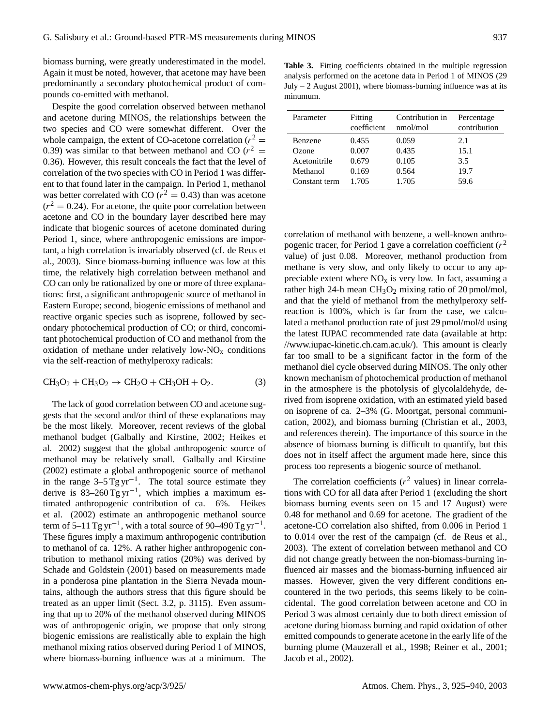biomass burning, were greatly underestimated in the model. Again it must be noted, however, that acetone may have been predominantly a secondary photochemical product of compounds co-emitted with methanol.

Despite the good correlation observed between methanol and acetone during MINOS, the relationships between the two species and CO were somewhat different. Over the whole campaign, the extent of CO-acetone correlation ( $r^2$  = 0.39) was similar to that between methanol and CO ( $r^2$  = 0.36). However, this result conceals the fact that the level of correlation of the two species with CO in Period 1 was different to that found later in the campaign. In Period 1, methanol was better correlated with CO ( $r^2 = 0.43$ ) than was acetone  $(r^2 = 0.24)$ . For acetone, the quite poor correlation between acetone and CO in the boundary layer described here may indicate that biogenic sources of acetone dominated during Period 1, since, where anthropogenic emissions are important, a high correlation is invariably observed (cf. de Reus et al., 2003). Since biomass-burning influence was low at this time, the relatively high correlation between methanol and CO can only be rationalized by one or more of three explanations: first, a significant anthropogenic source of methanol in Eastern Europe; second, biogenic emissions of methanol and reactive organic species such as isoprene, followed by secondary photochemical production of CO; or third, concomitant photochemical production of CO and methanol from the oxidation of methane under relatively low- $NO<sub>x</sub>$  conditions via the self-reaction of methylperoxy radicals:

$$
CH3O2 + CH3O2 \rightarrow CH2O + CH3OH + O2.
$$
 (3)

The lack of good correlation between CO and acetone suggests that the second and/or third of these explanations may be the most likely. Moreover, recent reviews of the global methanol budget (Galbally and Kirstine, 2002; Heikes et al. 2002) suggest that the global anthropogenic source of methanol may be relatively small. Galbally and Kirstine (2002) estimate a global anthropogenic source of methanol in the range  $3-5$  Tg yr<sup>-1</sup>. The total source estimate they derive is  $83-260$  Tg yr<sup>-1</sup>, which implies a maximum estimated anthropogenic contribution of ca. 6%. Heikes et al. (2002) estimate an anthropogenic methanol source term of 5–11 Tg yr<sup>-1</sup>, with a total source of 90–490 Tg yr<sup>-1</sup>. These figures imply a maximum anthropogenic contribution to methanol of ca. 12%. A rather higher anthropogenic contribution to methanol mixing ratios (20%) was derived by Schade and Goldstein (2001) based on measurements made in a ponderosa pine plantation in the Sierra Nevada mountains, although the authors stress that this figure should be treated as an upper limit (Sect. 3.2, p. 3115). Even assuming that up to 20% of the methanol observed during MINOS was of anthropogenic origin, we propose that only strong biogenic emissions are realistically able to explain the high methanol mixing ratios observed during Period 1 of MINOS, where biomass-burning influence was at a minimum. The

**Table 3.** Fitting coefficients obtained in the multiple regression analysis performed on the acetone data in Period 1 of MINOS (29 July – 2 August 2001), where biomass-burning influence was at its minumum.

| Parameter     | Fitting     | Contribution in | Percentage   |
|---------------|-------------|-----------------|--------------|
|               | coefficient | nmol/mol        | contribution |
| Benzene       | 0.455       | 0.059           | 2.1          |
| Ozone         | 0.007       | 0.435           | 15.1         |
| Acetonitrile  | 0.679       | 0.105           | 3.5          |
| Methanol      | 0.169       | 0.564           | 19.7         |
| Constant term | 1.705       | 1.705           | 59.6         |

correlation of methanol with benzene, a well-known anthropogenic tracer, for Period 1 gave a correlation coefficient ( $r^2$ value) of just 0.08. Moreover, methanol production from methane is very slow, and only likely to occur to any appreciable extent where  $NO<sub>x</sub>$  is very low. In fact, assuming a rather high 24-h mean  $CH<sub>3</sub>O<sub>2</sub>$  mixing ratio of 20 pmol/mol, and that the yield of methanol from the methylperoxy selfreaction is 100%, which is far from the case, we calculated a methanol production rate of just 29 pmol/mol/d using the latest IUPAC recommended rate data (available at http: //www.iupac-kinetic.ch.cam.ac.uk/). This amount is clearly far too small to be a significant factor in the form of the methanol diel cycle observed during MINOS. The only other known mechanism of photochemical production of methanol in the atmosphere is the photolysis of glycolaldehyde, derived from isoprene oxidation, with an estimated yield based on isoprene of ca. 2–3% (G. Moortgat, personal communication, 2002), and biomass burning (Christian et al., 2003, and references therein). The importance of this source in the absence of biomass burning is difficult to quantify, but this does not in itself affect the argument made here, since this process too represents a biogenic source of methanol.

The correlation coefficients ( $r^2$  values) in linear correlations with CO for all data after Period 1 (excluding the short biomass burning events seen on 15 and 17 August) were 0.48 for methanol and 0.69 for acetone. The gradient of the acetone-CO correlation also shifted, from 0.006 in Period 1 to 0.014 over the rest of the campaign (cf. de Reus et al., 2003). The extent of correlation between methanol and CO did not change greatly between the non-biomass-burning influenced air masses and the biomass-burning influenced air masses. However, given the very different conditions encountered in the two periods, this seems likely to be coincidental. The good correlation between acetone and CO in Period 3 was almost certainly due to both direct emission of acetone during biomass burning and rapid oxidation of other emitted compounds to generate acetone in the early life of the burning plume (Mauzerall et al., 1998; Reiner et al., 2001; Jacob et al., 2002).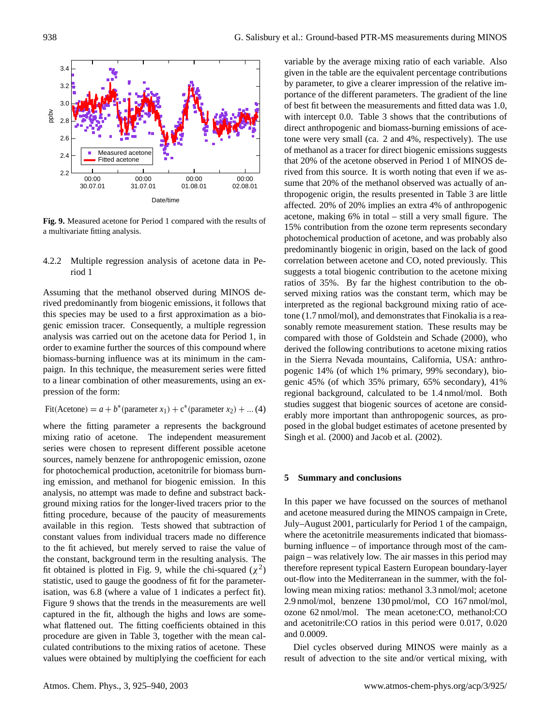

 $\frac{1}{2}$  activariate fitting analysis a multivariate fitting analysis. **Fig. 9.** Measured acetone for Period 1 compared with the results of

# 4.2.2 Multiple regression analysis of acetone data in Period 1

Assuming that the methanol observed during MINOS derived predominantly from biogenic emissions, it follows that this species may be used to a first approximation as a biogenic emission tracer. Consequently, a multiple regression analysis was carried out on the acetone data for Period 1, in order to examine further the sources of this compound where biomass-burning influence was at its minimum in the campaign. In this technique, the measurement series were fitted to a linear combination of other measurements, using an expression of the form:

Fit(Acetone) = 
$$
a + b^*
$$
 (parameter  $x_1$ ) +  $c^*$  (parameter  $x_2$ ) + ... (4)

where the fitting parameter a represents the background mixing ratio of acetone. The independent measurement series were chosen to represent different possible acetone sources, namely benzene for anthropogenic emission, ozone for photochemical production, acetonitrile for biomass burning emission, and methanol for biogenic emission. In this analysis, no attempt was made to define and substract background mixing ratios for the longer-lived tracers prior to the fitting procedure, because of the paucity of measurements available in this region. Tests showed that subtraction of constant values from individual tracers made no difference to the fit achieved, but merely served to raise the value of the constant, background term in the resulting analysis. The fit obtained is plotted in Fig. 9, while the chi-squared  $(\chi^2)$ statistic, used to gauge the goodness of fit for the parameterisation, was 6.8 (where a value of 1 indicates a perfect fit). Figure 9 shows that the trends in the measurements are well captured in the fit, although the highs and lows are somewhat flattened out. The fitting coefficients obtained in this procedure are given in Table 3, together with the mean calculated contributions to the mixing ratios of acetone. These values were obtained by multiplying the coefficient for each

variable by the average mixing ratio of each variable. Also given in the table are the equivalent percentage contributions by parameter, to give a clearer impression of the relative importance of the different parameters. The gradient of the line of best fit between the measurements and fitted data was 1.0, with intercept 0.0. Table 3 shows that the contributions of direct anthropogenic and biomass-burning emissions of acetone were very small (ca. 2 and 4%, respectively). The use of methanol as a tracer for direct biogenic emissions suggests that 20% of the acetone observed in Period 1 of MINOS derived from this source. It is worth noting that even if we assume that 20% of the methanol observed was actually of anthropogenic origin, the results presented in Table 3 are little affected. 20% of 20% implies an extra 4% of anthropogenic acetone, making 6% in total – still a very small figure. The 15% contribution from the ozone term represents secondary photochemical production of acetone, and was probably also predominantly biogenic in origin, based on the lack of good correlation between acetone and CO, noted previously. This suggests a total biogenic contribution to the acetone mixing ratios of 35%. By far the highest contribution to the observed mixing ratios was the constant term, which may be interpreted as the regional background mixing ratio of acetone (1.7 nmol/mol), and demonstrates that Finokalia is a reasonably remote measurement station. These results may be compared with those of Goldstein and Schade (2000), who derived the following contributions to acetone mixing ratios in the Sierra Nevada mountains, California, USA: anthropogenic 14% (of which 1% primary, 99% secondary), biogenic 45% (of which 35% primary, 65% secondary), 41% regional background, calculated to be 1.4 nmol/mol. Both studies suggest that biogenic sources of acetone are considerably more important than anthropogenic sources, as proposed in the global budget estimates of acetone presented by Singh et al. (2000) and Jacob et al. (2002).

#### **5 Summary and conclusions**

In this paper we have focussed on the sources of methanol and acetone measured during the MINOS campaign in Crete, July–August 2001, particularly for Period 1 of the campaign, where the acetonitrile measurements indicated that biomassburning influence – of importance through most of the campaign – was relatively low. The air masses in this period may therefore represent typical Eastern European boundary-layer out-flow into the Mediterranean in the summer, with the following mean mixing ratios: methanol 3.3 nmol/mol; acetone 2.9 nmol/mol, benzene 130 pmol/mol, CO 167 nmol/mol, ozone 62 nmol/mol. The mean acetone:CO, methanol:CO and acetonitrile:CO ratios in this period were 0.017, 0.020 and 0.0009.

Diel cycles observed during MINOS were mainly as a result of advection to the site and/or vertical mixing, with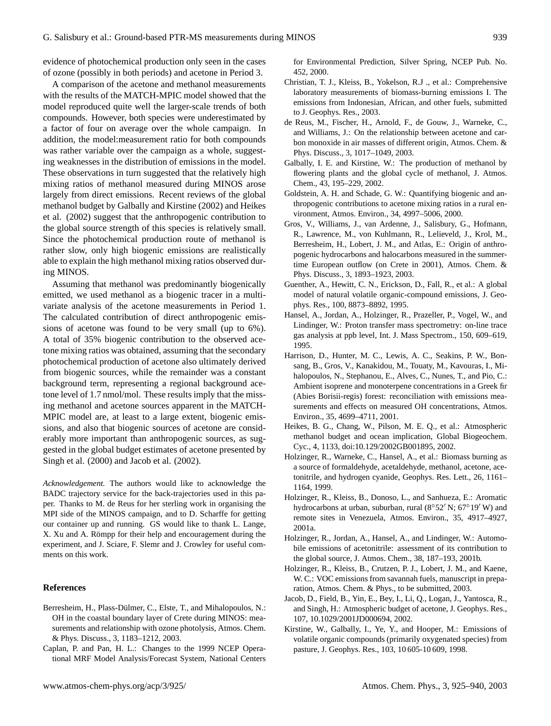evidence of photochemical production only seen in the cases of ozone (possibly in both periods) and acetone in Period 3.

A comparison of the acetone and methanol measurements with the results of the MATCH-MPIC model showed that the model reproduced quite well the larger-scale trends of both compounds. However, both species were underestimated by a factor of four on average over the whole campaign. In addition, the model:measurement ratio for both compounds was rather variable over the campaign as a whole, suggesting weaknesses in the distribution of emissions in the model. These observations in turn suggested that the relatively high mixing ratios of methanol measured during MINOS arose largely from direct emissions. Recent reviews of the global methanol budget by Galbally and Kirstine (2002) and Heikes et al. (2002) suggest that the anthropogenic contribution to the global source strength of this species is relatively small. Since the photochemical production route of methanol is rather slow, only high biogenic emissions are realistically able to explain the high methanol mixing ratios observed during MINOS.

Assuming that methanol was predominantly biogenically emitted, we used methanol as a biogenic tracer in a multivariate analysis of the acetone measurements in Period 1. The calculated contribution of direct anthropogenic emissions of acetone was found to be very small (up to 6%). A total of 35% biogenic contribution to the observed acetone mixing ratios was obtained, assuming that the secondary photochemical production of acetone also ultimately derived from biogenic sources, while the remainder was a constant background term, representing a regional background acetone level of 1.7 nmol/mol. These results imply that the missing methanol and acetone sources apparent in the MATCH-MPIC model are, at least to a large extent, biogenic emissions, and also that biogenic sources of acetone are considerably more important than anthropogenic sources, as suggested in the global budget estimates of acetone presented by Singh et al. (2000) and Jacob et al. (2002).

*Acknowledgement.* The authors would like to acknowledge the BADC trajectory service for the back-trajectories used in this paper. Thanks to M. de Reus for her sterling work in organising the MPI side of the MINOS campaign, and to D. Scharffe for getting our container up and running. GS would like to thank L. Lange, X. Xu and A. Römpp for their help and encouragement during the experiment, and J. Sciare, F. Slemr and J. Crowley for useful comments on this work.

### **References**

- Berresheim, H., Plass-Dülmer, C., Elste, T., and Mihalopoulos, N.: OH in the coastal boundary layer of Crete during MINOS: measurements and relationship with ozone photolysis, Atmos. Chem. & Phys. Discuss., 3, 1183–1212, 2003.
- Caplan, P. and Pan, H. L.: Changes to the 1999 NCEP Operational MRF Model Analysis/Forecast System, National Centers

for Environmental Prediction, Silver Spring, NCEP Pub. No. 452, 2000.

- Christian, T. J., Kleiss, B., Yokelson, R.J ., et al.: Comprehensive laboratory measurements of biomass-burning emissions I. The emissions from Indonesian, African, and other fuels, submitted to J. Geophys. Res., 2003.
- de Reus, M., Fischer, H., Arnold, F., de Gouw, J., Warneke, C., and Williams, J.: On the relationship between acetone and carbon monoxide in air masses of different origin, Atmos. Chem. & Phys. Discuss., 3, 1017–1049, 2003.
- Galbally, I. E. and Kirstine, W.: The production of methanol by flowering plants and the global cycle of methanol, J. Atmos. Chem., 43, 195–229, 2002.
- Goldstein, A. H. and Schade, G. W.: Quantifying biogenic and anthropogenic contributions to acetone mixing ratios in a rural environment, Atmos. Environ., 34, 4997–5006, 2000.
- Gros, V., Williams, J., van Ardenne, J., Salisbury, G., Hofmann, R., Lawrence, M., von Kuhlmann, R., Lelieveld, J., Krol, M., Berresheim, H., Lobert, J. M., and Atlas, E.: Origin of anthropogenic hydrocarbons and halocarbons measured in the summertime European outflow (on Crete in 2001), Atmos. Chem. & Phys. Discuss., 3, 1893–1923, 2003.
- Guenther, A., Hewitt, C. N., Erickson, D., Fall, R., et al.: A global model of natural volatile organic-compound emissions, J. Geophys. Res., 100, 8873–8892, 1995.
- Hansel, A., Jordan, A., Holzinger, R., Prazeller, P., Vogel, W., and Lindinger, W.: Proton transfer mass spectrometry: on-line trace gas analysis at ppb level, Int. J. Mass Spectrom., 150, 609–619, 1995.
- Harrison, D., Hunter, M. C., Lewis, A. C., Seakins, P. W., Bonsang, B., Gros, V., Kanakidou, M., Touaty, M., Kavouras, I., Mihalopoulos, N., Stephanou, E., Alves, C., Nunes, T., and Pio, C.: Ambient isoprene and monoterpene concentrations in a Greek fir (Abies Borisii-regis) forest: reconciliation with emissions measurements and effects on measured OH concentrations, Atmos. Environ., 35, 4699–4711, 2001.
- Heikes, B. G., Chang, W., Pilson, M. E. Q., et al.: Atmospheric methanol budget and ocean implication, Global Biogeochem. Cyc., 4, 1133, doi:10.129/2002GB001895, 2002.
- Holzinger, R., Warneke, C., Hansel, A., et al.: Biomass burning as a source of formaldehyde, acetaldehyde, methanol, acetone, acetonitrile, and hydrogen cyanide, Geophys. Res. Lett., 26, 1161– 1164, 1999.
- Holzinger, R., Kleiss, B., Donoso, L., and Sanhueza, E.: Aromatic hydrocarbons at urban, suburban, rural ( $8°52'$  N;  $67°19'$  W) and remote sites in Venezuela, Atmos. Environ., 35, 4917–4927, 2001a.
- Holzinger, R., Jordan, A., Hansel, A., and Lindinger, W.: Automobile emissions of acetonitrile: assessment of its contribution to the global source, J. Atmos. Chem., 38, 187–193, 2001b.
- Holzinger, R., Kleiss, B., Crutzen, P. J., Lobert, J. M., and Kaene, W. C.: VOC emissions from savannah fuels, manuscript in preparation, Atmos. Chem. & Phys., to be submitted, 2003.
- Jacob, D., Field, B., Yin, E., Bey, I., Li, Q., Logan, J., Yantosca, R., and Singh, H.: Atmospheric budget of acetone, J. Geophys. Res., 107, 10.1029/2001JD000694, 2002.
- Kirstine, W., Galbally, I., Ye, Y., and Hooper, M.: Emissions of volatile organic compounds (primarily oxygenated species) from pasture, J. Geophys. Res., 103, 10 605-10 609, 1998.